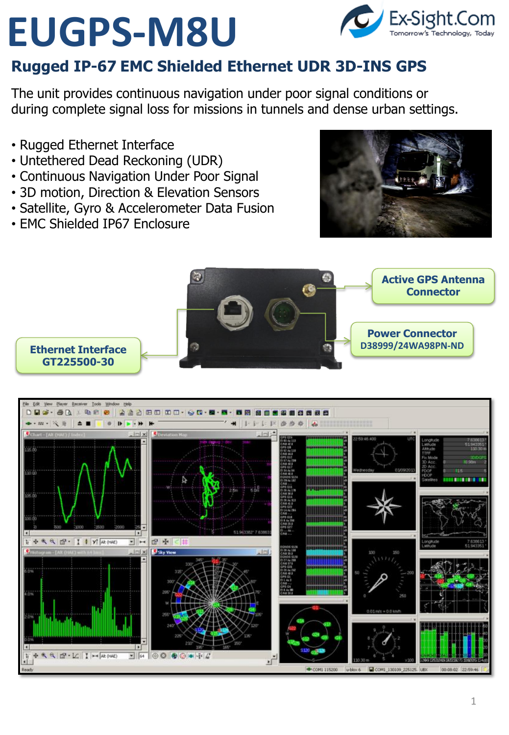# **EUGPS-M8U**



#### **Rugged IP-67 EMC Shielded Ethernet UDR 3D-INS GPS**

The unit provides continuous navigation under poor signal conditions or during complete signal loss for missions in tunnels and dense urban settings.

- Rugged Ethernet Interface
- Untethered Dead Reckoning (UDR)
- Continuous Navigation Under Poor Signal
- 3D motion, Direction & Elevation Sensors
- Satellite, Gyro & Accelerometer Data Fusion
- EMC Shielded IP67 Enclosure